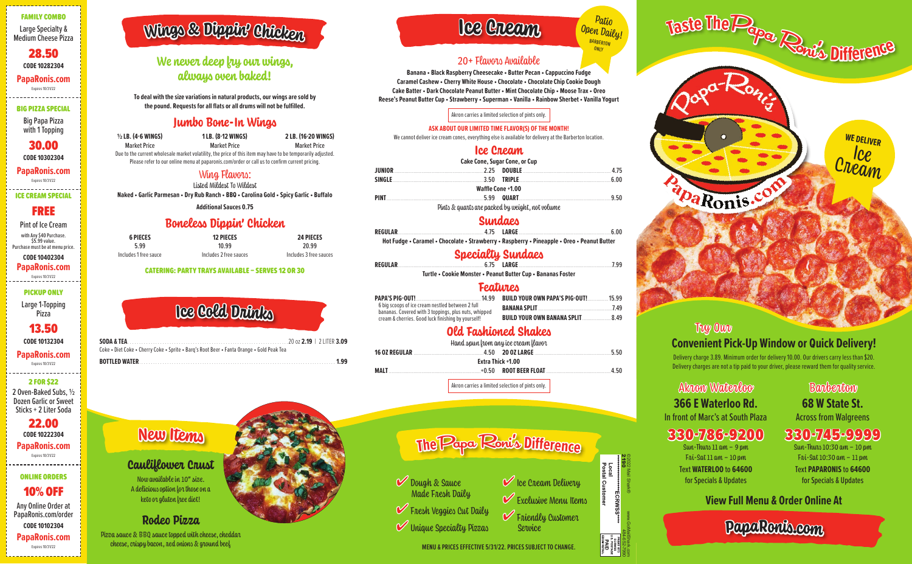**PapaRonis.co<sup>m</sup>**

Akron Waterloo **366 E Waterloo Rd.** In front of Marc's at South Plaza

## 330-786-9200

Sun-Thurs  $11$  am  $-$  9 pm Fwi-Sat  $11$  am  $-10$  pm

Text **WATERLOO** to **64600** for Specials & Updates

**68 W State St.** Across from Walgreens

## 330-745-9999 Sun-Thurs 10:30 am – 10 pm

Fwi-Sat  $10:30$  am  $-11$  pm

Text **PAPARONIS** to **64600** for Specials & Updates

#### FAMILY COMBO Large Specialty & Medium Cheese Pizza

28.50 **CODE 10282304 PapaRonis.com**

Expires 10/31/22

#### BIG PIZZA SPECIAL

Big Papa Pizza with 1 Topping

30.00 **CODE 10302304**

**PapaRonis.com** Expires 10/31/22

## PICKUP ONLY

Large 1-Topping Pizza

#### 13.50 **CODE 10132304**

#### **PapaRonis.com** Expires 10/31/22

### 2 FOR \$22

2 Oven-Baked Subs, ½ Dozen Garlic or Sweet Sticks + 2 Liter Soda

22.00 **CODE 10222304 PapaRonis.com** Expires 10/31/22

## ONLINE ORDERS

10% OFF Any Online Order at PapaRonis.com/order **CODE 10102304 PapaRonis.com** Expires 10/31/22

## **View Full Menu & Order Online At**

Delivery charge 3.89. Minimum order for delivery 10.00. Our drivers carry less than \$20. Delivery charges are not a tip paid to your driver, please reward them for quality service.

## 20+ Flavors Available

**Banana • Black Raspberry Cheesecake • Butter Pecan • Cappuccino Fudge Caramel Cashew • Cherry White House • Chocolate • Chocolate Chip Cookie Dough Cake Batter • Dark Chocolate Peanut Butter • Mint Chocolate Chip • Moose Trax • Oreo Reese's Peanut Butter Cup • Strawberry • Superman • Vanilla • Rainbow Sherbet • Vanilla Yogurt** 

**PAPA'S PIG-OUT!** 6 big scoops of ice cream nestled between 2 full bananas. Covered with 3 toppings, plus nuts, whipped cream & cherries. Good luck finishing by yourself!

Akron carries a limited selection of pints only.

### **ASK ABOUT OUR LIMITED TIME FLAVOR(S) OF THE MONTH!**

We cannot deliver ice cream cones, everything else is available for delivery at the Barberton location

## **Ice Cream**

| <b>Cake Cone, Sugar Cone, or Cup</b> |                                                                                                                                                                                                                                |  |
|--------------------------------------|--------------------------------------------------------------------------------------------------------------------------------------------------------------------------------------------------------------------------------|--|
|                                      | <b>JUNIOR</b> [1990] THE RESERVE CONDENSITY OF A 25 SET OF A 2.25 DOUBLE <b>www.community.community.community.community</b>                                                                                                    |  |
|                                      | SINGLE 6.00                                                                                                                                                                                                                    |  |
|                                      | Waffle Cone +1.00                                                                                                                                                                                                              |  |
|                                      | PINT 25.09 QUART 25.99 QUART 25.99 QUART 25.09 QUART 25.09 QUART 25.09 QUART 25.09 QUART 25.00 QUART 25.00 QUART 25.00 QUART 25.00 QUART 25.00 QUART 25.00 QUART 25.00 QUART 25.00 QUART 25.00 QUART 25.00 QUART 25.00 QUART 2 |  |
|                                      | Pints & quarts are packed by weight, not volume                                                                                                                                                                                |  |

## **Sundaes**

**Rodeo Pizza** Pizza sauce & BBQ sauce topped with cheese, cheddar  $cheese$ , crispy bacon, red onions & ground beef

| .<br>$\cdots$ | . | $\sim$ $\sim$ $\sim$ $\sim$ $\sim$ $\sim$ | $\bullet$ | . | - - | $\sim$ $\sim$ $\sim$ |  |
|---------------|---|-------------------------------------------|-----------|---|-----|----------------------|--|



Patio Open Daily! **ONLY** 

**Hot Fudge • Caramel • Chocolate • Strawberry • Raspberry • Pineapple • Oreo • Peanut Butter** 

## **Specialty Sundaes**

| <b>REGULAR</b> |                                                              |  |
|----------------|--------------------------------------------------------------|--|
|                | Turtle • Cookie Monster • Peanut Butter Cup • Bananas Foster |  |

Pint of Ice Cream with Any \$40 Purchase. \$5.99 value.

## **Features**

## **Convenient Pick-Up Window or Quick Delivery!**  Try Our

**BUILD YOUR OWN PAPA'S PIG-OUT!**................15.99 **BANANA SPLIT**.........................................................7.49 **BUILD YOUR OWN BANANA SPLIT**......................8.49

## **Old Fashioned Shakes**

| Hand spun krom any ice cream flavor |  |  |                               |  |  |
|-------------------------------------|--|--|-------------------------------|--|--|
|                                     |  |  |                               |  |  |
| Extra Thick +1.00                   |  |  |                               |  |  |
| <b>MAIT</b>                         |  |  | $+0.50$ ROOT BEER FLOAT 24.50 |  |  |
|                                     |  |  |                               |  |  |

Akron carries a limited selection of pints only.

## **We never deep fry our wings, always oven baked!**

**To deal with the size variations in natural products, our wings are sold by the pound. Requests for all flats or all drums will not be fulfilled.** 

## **Jumbo Bone-In Wings**

| $\frac{1}{2}$ LB. (4-6 WINGS) | <b>1LB. (8-12 WINGS)</b>                                                                                    | 2 LB. (16-20 WINGS) |
|-------------------------------|-------------------------------------------------------------------------------------------------------------|---------------------|
| <b>Market Price</b>           | <b>Market Price</b>                                                                                         | <b>Market Price</b> |
|                               | Due to the current wholesale market volatility, the price of this item may have to be temporarily adjusted. |                     |
|                               | Please refer to our online menu at paparonis.com/order or call us to confirm current pricing.               |                     |

## Wing Flavors:

Listed Mildest To Wildest **Naked • Garlic Parmesan • Dry Rub Ranch • BBQ • Carolina Gold • Spicy Garlic • Buffalo** 

**Additional Sauces 0.75** 

## **Boneless Dippin' Chicken**

| <b>6 PIECES</b>       | <b>12 PIECES</b>       | <b>24 PIECES</b>       |
|-----------------------|------------------------|------------------------|
| 5.99                  | 10.99                  | 20.99                  |
| Includes 1 free sauce | Includes 2 free sauces | Includes 3 free sauces |

#### CATERING: PARTY TRAYS AVAILABLE – SERVES 12 OR 30

**Cauliflower Crust**  Now available in 10" size. A delicious option for those on a keto or gluten free diet!

# **Wing<sup>s</sup> & <sup>D</sup>ippin' <sup>C</sup>hicke<sup>n</sup>**

## **Ic<sup>e</sup> Cream**

**Ne<sup>w</sup> Item<sup>s</sup>**

|                                                                                                                    | les Cold Duink              |
|--------------------------------------------------------------------------------------------------------------------|-----------------------------|
| <b>SODA &amp; TEA</b><br>Coke • Diet Coke • Cherry Coke • Sprite • Barg's Root Beer • Fanta Orange • Gold Peak Tea | $20$ oz 2.19   2 LITER 3.09 |



ICE CREAM SPECIAL

## FREE

Purchase must be at menu price. **CODE 10402304**

**PapaRonis.com** Expires 10/31/22

©2022 Mail Shark®

www.GoMailShark.com

\*\*\*\*\*\*\*\*\*\*ECRWSS\*\*\*

**Banbenton**